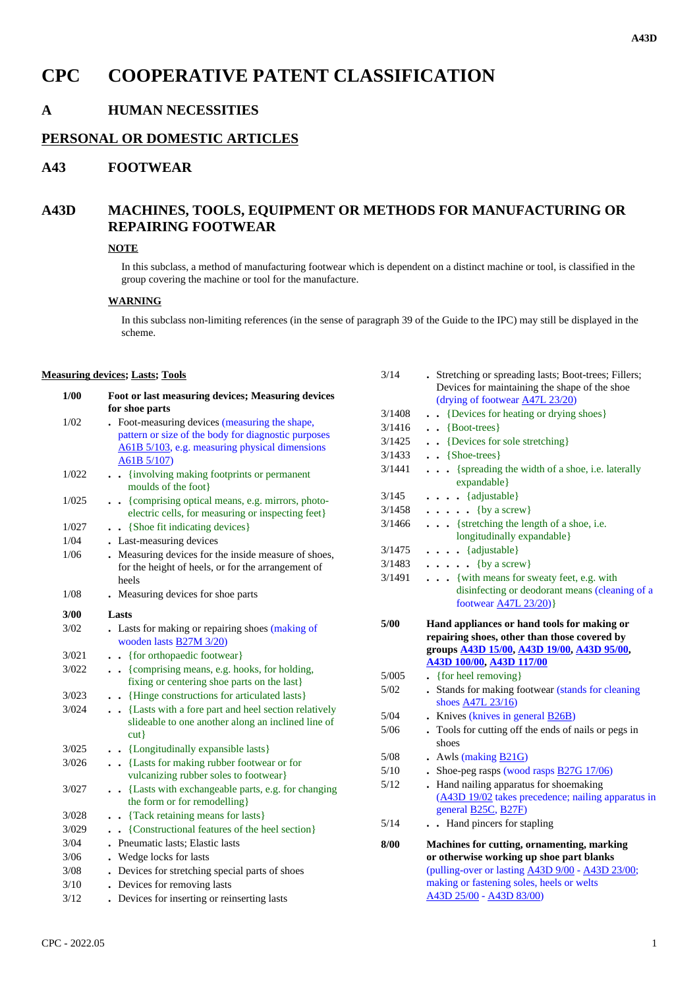# **CPC COOPERATIVE PATENT CLASSIFICATION**

## **A HUMAN NECESSITIES**

### **PERSONAL OR DOMESTIC ARTICLES**

## **A43 FOOTWEAR**

# **A43D MACHINES, TOOLS, EQUIPMENT OR METHODS FOR MANUFACTURING OR REPAIRING FOOTWEAR**

#### **NOTE**

In this subclass, a method of manufacturing footwear which is dependent on a distinct machine or tool, is classified in the group covering the machine or tool for the manufacture.

#### **WARNING**

In this subclass non-limiting references (in the sense of paragraph 39 of the Guide to the IPC) may still be displayed in the scheme.

#### **Measuring devices; Lasts; Tools**

| $1/00$ | Foot or last measuring devices; Measuring devices<br>for shoe parts                   |        | рсукся тог піаппанніце і<br>(drying of footwear A47I               |
|--------|---------------------------------------------------------------------------------------|--------|--------------------------------------------------------------------|
| 1/02   | . Foot-measuring devices (measuring the shape,                                        | 3/1408 | $\bullet$ $\bullet$ {Devices for heating or                        |
|        | pattern or size of the body for diagnostic purposes                                   | 3/1416 | $\bullet \bullet \{ Boot-trees\}$                                  |
|        | A61B 5/103, e.g. measuring physical dimensions                                        | 3/1425 | . . {Devices for sole streto                                       |
|        | $A61B\,5/107$                                                                         | 3/1433 | $\bullet \bullet$ {Shoe-trees}                                     |
| 1/022  | . {involving making footprints or permanent<br>moulds of the foot}                    | 3/1441 | {spreading the width<br>expandable}                                |
| 1/025  | . {comprising optical means, e.g. mirrors, photo-                                     | 3/145  | $\ldots$ {adjustable}                                              |
|        | electric cells, for measuring or inspecting feet}                                     | 3/1458 | $\ldots$ {by a screw}                                              |
| 1/027  | . . {Shoe fit indicating devices}                                                     | 3/1466 | {stretching the lengtl                                             |
| 1/04   | . Last-measuring devices                                                              |        | longitudinally expan                                               |
| 1/06   | . Measuring devices for the inside measure of shoes,                                  | 3/1475 | $\cdots$ {adjustable}                                              |
|        | for the height of heels, or for the arrangement of                                    | 3/1483 | $\ldots$ {by a screw}                                              |
|        | heels                                                                                 | 3/1491 | {with means for swe                                                |
| 1/08   | . Measuring devices for shoe parts                                                    |        | disinfecting or deodo<br>footwear A47L 23/2                        |
| 3/00   | Lasts                                                                                 | 5/00   | Hand appliances or hand                                            |
| 3/02   | . Lasts for making or repairing shoes (making of<br>wooden lasts <b>B27M 3/20</b> )   |        | repairing shoes, other that                                        |
| 3/021  | . {for orthopaedic footwear}                                                          |        | groups <b>A43D 15/00</b> , <b>A43D</b><br>A43D 100/00, A43D 117/00 |
| 3/022  | . {comprising means, e.g. hooks, for holding,                                         | 5/005  | $\bullet$ {for heel removing}                                      |
|        | fixing or centering shoe parts on the last}                                           | $5/02$ | • Stands for making footwe                                         |
| 3/023  | . Hinge constructions for articulated lasts }                                         |        | shoes <b>A47L 23/16</b> )                                          |
| 3/024  | . . {Lasts with a fore part and heel section relatively                               | 5/04   | . Knives (knives in general                                        |
|        | slideable to one another along an inclined line of                                    | $5/06$ | $\bullet$ Tools for cutting off the $\epsilon$                     |
|        | cut                                                                                   |        | shoes                                                              |
| 3/025  | . . {Longitudinally expansible lasts}                                                 | 5/08   | $\cdot$ Awls (making $B21G$ )                                      |
| 3/026  | . {Lasts for making rubber footwear or for                                            | 5/10   | . Shoe-peg rasps (wood ras                                         |
|        | vulcanizing rubber soles to footwear}                                                 | 5/12   | . Hand nailing apparatus fo                                        |
| 3/027  | . . {Lasts with exchangeable parts, e.g. for changing<br>the form or for remodelling} |        | (A43D 19/02 takes preced                                           |
| 3/028  | . Tack retaining means for lasts }                                                    |        | general B25C, B27F)                                                |
| 3/029  | . {Constructional features of the heel section}                                       | 5/14   | . Hand pincers for stapli                                          |
| 3/04   | . Pneumatic lasts; Elastic lasts                                                      | 8/00   | Machines for cutting, orna                                         |
| 3/06   | . Wedge locks for lasts                                                               |        | or otherwise working up s                                          |
| $3/08$ | . Devices for stretching special parts of shoes                                       |        | (pulling-over or lasting A43                                       |
| 3/10   | . Devices for removing lasts                                                          |        | making or fastening soles, h                                       |
| 3/12   | . Devices for inserting or reinserting lasts                                          |        | A43D 25/00 - A43D 83/00)                                           |
|        |                                                                                       |        |                                                                    |

| 3/14   | . Stretching or spreading lasts; Boot-trees; Fillers;<br>Devices for maintaining the shape of the shoe<br>(drying of footwear A47L 23/20)                         |
|--------|-------------------------------------------------------------------------------------------------------------------------------------------------------------------|
| 3/1408 | {Devices for heating or drying shoes}                                                                                                                             |
| 3/1416 | $\,cdot \,$ {Boot-trees}                                                                                                                                          |
| 3/1425 | • {Devices for sole stretching}                                                                                                                                   |
| 3/1433 | $\bullet$ {Shoe-trees}                                                                                                                                            |
| 3/1441 | {spreading the width of a shoe, i.e. laterally                                                                                                                    |
|        | expandable}                                                                                                                                                       |
| 3/145  | $\ldots$ {adjustable}                                                                                                                                             |
| 3/1458 | $\cdots$ $\cdots$ {by a screw}                                                                                                                                    |
| 3/1466 | {stretching the length of a shoe, i.e.<br>longitudinally expandable}                                                                                              |
| 3/1475 | . {adjustable}                                                                                                                                                    |
| 3/1483 | $\cdots$ $\cdots$ {by a screw}                                                                                                                                    |
| 3/1491 | { with means for sweaty feet, e.g. with                                                                                                                           |
|        | disinfecting or deodorant means (cleaning of a                                                                                                                    |
|        | footwear <b>A47L 23/20</b> )}                                                                                                                                     |
|        |                                                                                                                                                                   |
| 5/00   | Hand appliances or hand tools for making or<br>repairing shoes, other than those covered by<br>groups <b>A43D 15/00</b> , <b>A43D 19/00</b> , <b>A43D 95/00</b> , |
|        | A43D 100/00, A43D 117/00                                                                                                                                          |
| 5/005  | {for heel removing}                                                                                                                                               |
| 5/02   | . Stands for making footwear (stands for cleaning                                                                                                                 |
|        | shoes A47L 23/16)                                                                                                                                                 |
| 5/04   | • Knives (knives in general $B26B$ )                                                                                                                              |
| 5/06   | . Tools for cutting off the ends of nails or pegs in<br>shoes                                                                                                     |
| 5/08   | • Awls (making B21G)                                                                                                                                              |
| 5/10   | . Shoe-peg rasps (wood rasps $\frac{B27G17}{/06}$ )                                                                                                               |
| 5/12   | Hand nailing apparatus for shoemaking                                                                                                                             |
|        | (A43D 19/02 takes precedence; nailing apparatus in<br>general <b>B25C</b> , <b>B27F</b> )                                                                         |
| 5/14   | Hand pincers for stapling                                                                                                                                         |
| 8/00   | <b>Machines for cutting, ornamenting, marking</b>                                                                                                                 |
|        | or otherwise working up shoe part blanks                                                                                                                          |
|        | (pulling-over or lasting A43D 9/00 - A43D 23/00;<br>making or fastening soles, heels or welts                                                                     |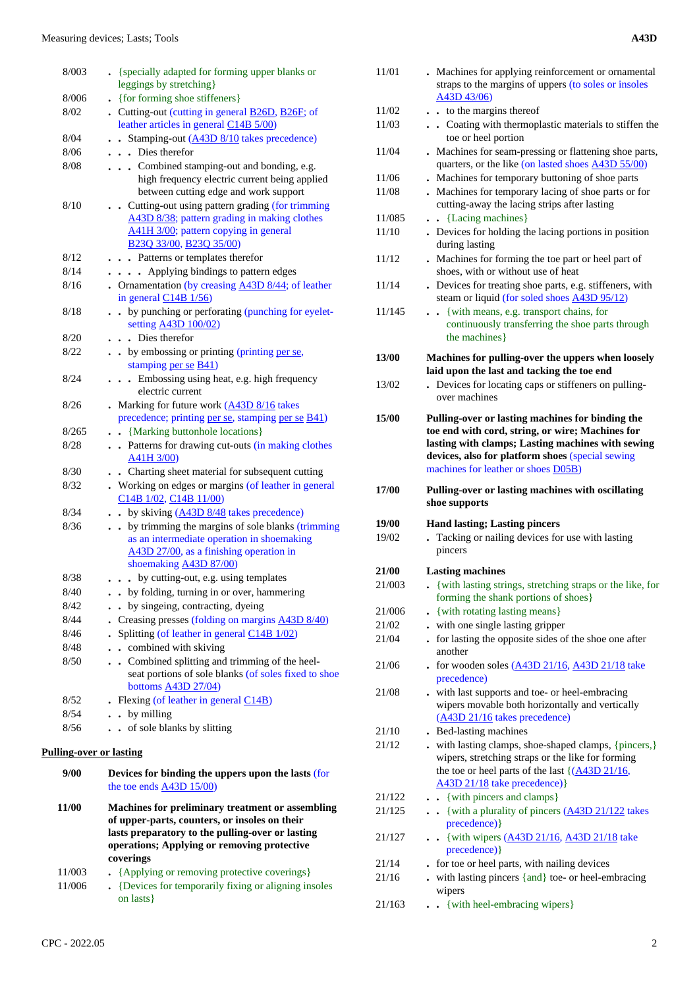| 8/003                          | • {specially adapted for forming upper blanks or<br>leggings by stretching}                                                                                           |
|--------------------------------|-----------------------------------------------------------------------------------------------------------------------------------------------------------------------|
| 8/006                          | . {for forming shoe stiffeners}                                                                                                                                       |
| 8/02                           | • Cutting-out (cutting in general <b>B26D</b> , <b>B26F</b> ; of<br>leather articles in general C14B 5/00)                                                            |
| 8/04                           | Stamping-out (A43D 8/10 takes precedence)<br>$\ddot{\phantom{a}}$                                                                                                     |
| 8/06                           | . Dies therefor                                                                                                                                                       |
| 8/08                           | Combined stamping-out and bonding, e.g.<br>high frequency electric current being applied<br>between cutting edge and work support                                     |
| 8/10                           | . Cutting-out using pattern grading (for trimming<br>A43D 8/38; pattern grading in making clothes<br>A41H 3/00; pattern copying in general<br>B23Q 33/00, B23Q 35/00) |
| 8/12                           | . Patterns or templates therefor                                                                                                                                      |
| 8/14                           | Applying bindings to pattern edges                                                                                                                                    |
| 8/16                           | • Ornamentation (by creasing A43D 8/44; of leather<br>in general $C14B$ $1/56$ )                                                                                      |
| 8/18                           | by punching or perforating (punching for eyelet-<br>setting A43D 100/02)                                                                                              |
| 8/20                           | . Dies therefor                                                                                                                                                       |
| 8/22                           | by embossing or printing (printing per se,                                                                                                                            |
|                                | stamping per se B41)                                                                                                                                                  |
| 8/24                           | Embossing using heat, e.g. high frequency<br>electric current                                                                                                         |
| 8/26                           | Marking for future work (A43D 8/16 takes                                                                                                                              |
|                                | precedence; printing per se, stamping per se B41)                                                                                                                     |
| 8/265                          | . . {Marking buttonhole locations}                                                                                                                                    |
| 8/28                           | . . Patterns for drawing cut-outs (in making clothes<br>A41H 3/00)                                                                                                    |
| 8/30                           | Charting sheet material for subsequent cutting<br>$\ddot{\phantom{0}}$                                                                                                |
| 8/32                           | . Working on edges or margins (of leather in general<br>C14B 1/02, C14B 11/00)                                                                                        |
| 8/34                           | by skiving $(A43D 8/48)$ takes precedence)<br>$\ddot{\phantom{a}}$                                                                                                    |
| 8/36                           | by trimming the margins of sole blanks (trimming<br>as an intermediate operation in shoemaking                                                                        |
|                                | A43D 27/00, as a finishing operation in                                                                                                                               |
| 8/38                           | shoemaking A43D 87/00)                                                                                                                                                |
|                                | . by cutting-out, e.g. using templates                                                                                                                                |
| 8/40<br>8/42                   | • by folding, turning in or over, hammering<br>by singeing, contracting, dyeing                                                                                       |
| 8/44                           | Creasing presses (folding on margins A43D 8/40)                                                                                                                       |
| 8/46                           | Splitting (of leather in general C14B 1/02)                                                                                                                           |
| 8/48                           | . combined with skiving                                                                                                                                               |
| 8/50                           | Combined splitting and trimming of the heel-                                                                                                                          |
|                                | seat portions of sole blanks (of soles fixed to shoe<br>bottoms A43D 27/04)                                                                                           |
| 8/52                           | . Flexing (of leather in general $C14B$ )                                                                                                                             |
| 8/54                           | $\cdot$ by milling                                                                                                                                                    |
| 8/56                           | of sole blanks by slitting<br>$\ddot{\phantom{a}}$                                                                                                                    |
| <b>Pulling-over or lasting</b> |                                                                                                                                                                       |
| 9/00                           | Devices for binding the uppers upon the lasts (for                                                                                                                    |
|                                | the toe ends $\overline{A43D}$ 15/00)                                                                                                                                 |

| 11/00  | Machines for preliminary treatment or assembling<br>of upper-parts, counters, or insoles on their<br>lasts preparatory to the pulling-over or lasting<br>operations; Applying or removing protective |
|--------|------------------------------------------------------------------------------------------------------------------------------------------------------------------------------------------------------|
|        | coverings                                                                                                                                                                                            |
| 11/003 | • {Applying or removing protective coverings}                                                                                                                                                        |
| 11/006 | . {Devices for temporarily fixing or aligning insoles<br>on lasts }                                                                                                                                  |

A43D 43/06) 11/02 **. .** to the margins thereof

- 11/03 **. .** Coating with thermoplastic materials to stiffen the toe or heel portion
- 11/04 **.** Machines for seam-pressing or flattening shoe parts, quarters, or the like (on lasted shoes A43D 55/00)
- 11/06 **.** Machines for temporary buttoning of shoe parts 11/08 **.** Machines for temporary lacing of shoe parts or for
	- cutting-away the lacing strips after lasting
- 11/085 **. .** {Lacing machines} 11/10 **.** Devices for holding the lacing portions in position during lasting
- 11/12 **.** Machines for forming the toe part or heel part of shoes, with or without use of heat
- 11/14 **.** Devices for treating shoe parts, e.g. stiffeners, with steam or liquid (for soled shoes A43D 95/12)
- 11/145 **. .** {with means, e.g. transport chains, for continuously transferring the shoe parts through the machines}

#### **13/00 Machines for pulling-over the uppers when loosely laid upon the last and tacking the toe end**

- 13/02 **.** Devices for locating caps or stiffeners on pullingover machines
- **15/00 Pulling-over or lasting machines for binding the toe end with cord, string, or wire; Machines for lasting with clamps; Lasting machines with sewing devices, also for platform shoes** (special sewing machines for leather or shoes D05B)
- **17/00 Pulling-over or lasting machines with oscillating shoe supports**

 **19/00 Hand lasting; Lasting pincers** 19/02 **.** Tacking or nailing devices for use with lasting pincers  **21/00 Lasting machines** 21/003 **.** {with lasting strings, stretching straps or the like, for forming the shank portions of shoes} 21/006 **.** {with rotating lasting means} 21/02 **.** with one single lasting gripper 21/04 **.** for lasting the opposite sides of the shoe one after another 21/06 **.** for wooden soles (A43D 21/16, A43D 21/18 take precedence) 21/08 **.** with last supports and toe- or heel-embracing wipers movable both horizontally and vertically (A43D 21/16 takes precedence) 21/10 **.** Bed-lasting machines

- 21/12 **.** with lasting clamps, shoe-shaped clamps, {pincers,} wipers, stretching straps or the like for forming the toe or heel parts of the last  $\{(A43D 21/16,$ A43D 21/18 take precedence)} 21/122 **. .** {with pincers and clamps} 21/125 **. .** {with a plurality of pincers (A43D 21/122 takes precedence)} 21/127 **. .** {with wipers (A43D 21/16, A43D 21/18 take precedence)} 21/14 **.** for toe or heel parts, with nailing devices
- 21/16 **.** with lasting pincers {and} toe- or heel-embracing wipers
- 21/163 **. .** {with heel-embracing wipers}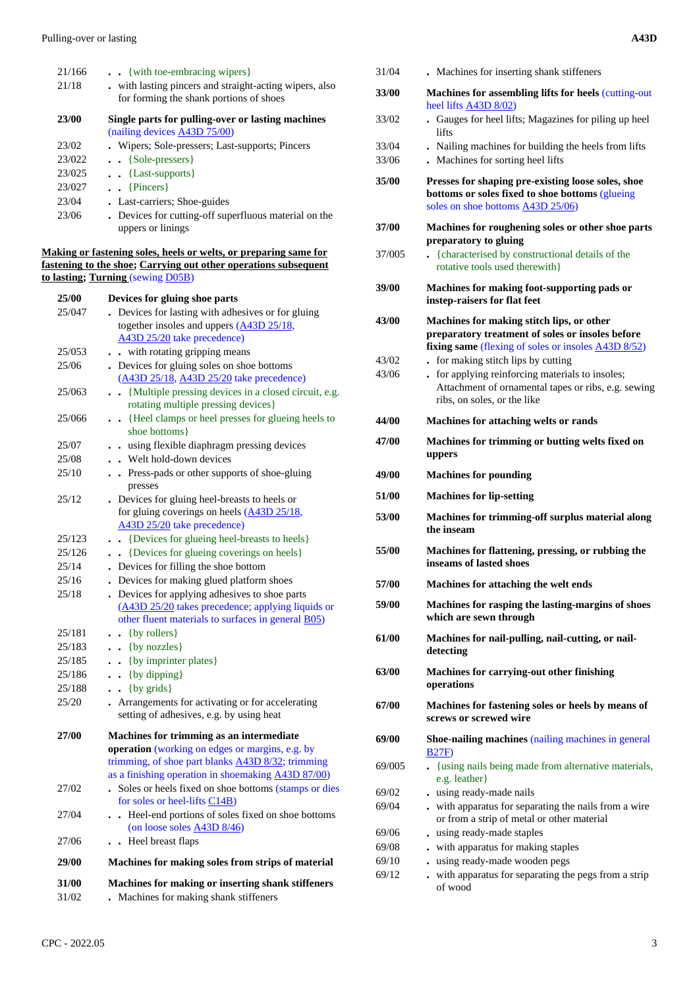| 21/166 | $\bullet$ $\bullet$ {with toe-embracing wipers}         |
|--------|---------------------------------------------------------|
| 21/18  | . with lasting pincers and straight-acting wipers, also |
|        | for forming the shank portions of shoes                 |
| 23/00  | Single parts for pulling-over or lasting machines       |
|        | (nailing devices A43D 75/00)                            |
| 23/02  | . Wipers; Sole-pressers; Last-supports; Pincers         |
| 23/022 | $\bullet$ $\bullet$ {Sole-pressers}                     |
| 23/025 | $\bullet$ $\bullet$ {Last-supports}                     |
| 23/027 | $\bullet$ {Pincers}                                     |
| 23/04  | • Last-carriers; Shoe-guides                            |
| 23/06  | . Devices for cutting-off superfluous material on the   |
|        | uppers or linings                                       |

#### **Making or fastening soles, heels or welts, or preparing same for fastening to the shoe; Carrying out other operations subsequent to lasting; Turning** (sewing D05B)

| 25/00  | Devices for gluing shoe parts                                  |
|--------|----------------------------------------------------------------|
| 25/047 | Devices for lasting with adhesives or for gluing               |
|        | together insoles and uppers (A43D 25/18,                       |
|        | A43D 25/20 take precedence)                                    |
| 25/053 | - with rotating gripping means                                 |
| 25/06  | Devices for gluing soles on shoe bottoms                       |
|        | (A43D 25/18, A43D 25/20 take precedence)                       |
| 25/063 | {Multiple pressing devices in a closed circuit, e.g.<br>$\sim$ |
|        | rotating multiple pressing devices}                            |
| 25/066 | • {Heel clamps or heel presses for glueing heels to            |
|        | shoe bottoms}                                                  |
| 25/07  | . using flexible diaphragm pressing devices                    |
| 25/08  | . Welt hold-down devices                                       |
| 25/10  | . Press-pads or other supports of shoe-gluing<br>presses       |
| 25/12  | . Devices for gluing heel-breasts to heels or                  |
|        | for gluing coverings on heels $(A43D 25/18,$                   |
|        | A43D 25/20 take precedence)                                    |
| 25/123 | • {Devices for glueing heel-breasts to heels}                  |
| 25/126 | {Devices for glueing coverings on heels}<br>$\sim$             |
| 25/14  | . Devices for filling the shoe bottom                          |
| 25/16  | Devices for making glued platform shoes                        |
| 25/18  | Devices for applying adhesives to shoe parts                   |
|        | (A43D 25/20 takes precedence; applying liquids or              |
|        | other fluent materials to surfaces in general B05)             |
| 25/181 | $\bullet$ {by rollers}                                         |
| 25/183 | $\bullet$ {by nozzles}                                         |
| 25/185 | . . {by imprinter plates}                                      |
| 25/186 | $\bullet$ (by dipping)                                         |
| 25/188 | {by grids}<br>$\sim$                                           |
| 25/20  | Arrangements for activating or for accelerating                |
|        | setting of adhesives, e.g. by using heat                       |
| 27/00  | Machines for trimming as an intermediate                       |
|        | operation (working on edges or margins, e.g. by                |
|        | trimming, of shoe part blanks A43D 8/32; trimming              |
|        | as a finishing operation in shoemaking A43D 87/00)             |
| 27/02  | . Soles or heels fixed on shoe bottoms (stamps or dies         |
|        | for soles or heel-lifts C14B)                                  |
| 27/04  | Heel-end portions of soles fixed on shoe bottoms               |
|        | (on loose soles A43D 8/46)                                     |
| 27/06  | Heel breast flaps                                              |
| 29/00  | Machines for making soles from strips of material              |
| 31/00  | Machines for making or inserting shank stiffeners              |

31/02 **.** Machines for making shank stiffeners

| 31/04          | . Machines for inserting shank stiffeners                                                                                                            |
|----------------|------------------------------------------------------------------------------------------------------------------------------------------------------|
| 33/00          | Machines for assembling lifts for heels (cutting-out<br>heel lifts A43D 8/02)                                                                        |
| 33/02          | Gauges for heel lifts; Magazines for piling up heel<br>lifts                                                                                         |
| 33/04<br>33/06 | . Nailing machines for building the heels from lifts<br>. Machines for sorting heel lifts                                                            |
| 35/00          | Presses for shaping pre-existing loose soles, shoe<br>bottoms or soles fixed to shoe bottoms (glueing<br>soles on shoe bottoms A43D 25/06)           |
| 37/00          | Machines for roughening soles or other shoe parts                                                                                                    |
| 37/005         | preparatory to gluing<br>{characterised by constructional details of the<br>rotative tools used therewith}                                           |
| 39/00          | Machines for making foot-supporting pads or<br>instep-raisers for flat feet                                                                          |
| 43/00          | Machines for making stitch lips, or other<br>preparatory treatment of soles or insoles before<br>fixing same (flexing of soles or insoles A43D 8/52) |
| 43/02          | for making stitch lips by cutting                                                                                                                    |
| 43/06          | - for applying reinforcing materials to insoles;<br>Attachment of ornamental tapes or ribs, e.g. sewing<br>ribs, on soles, or the like               |
| 44/00          | Machines for attaching welts or rands                                                                                                                |
| 47/00          | Machines for trimming or butting welts fixed on<br>uppers                                                                                            |
| 49/00          | <b>Machines for pounding</b>                                                                                                                         |
| <b>51/00</b>   | <b>Machines for lip-setting</b>                                                                                                                      |
| 53/00          | Machines for trimming-off surplus material along<br>the inseam                                                                                       |
| 55/00          | Machines for flattening, pressing, or rubbing the<br>inseams of lasted shoes                                                                         |
| <b>57/00</b>   | Machines for attaching the welt ends                                                                                                                 |
| <b>59/00</b>   | Machines for rasping the lasting-margins of shoes<br>which are sewn through                                                                          |
| 61/00          | Machines for nail-pulling, nail-cutting, or nail-<br>detecting                                                                                       |
|                |                                                                                                                                                      |
| 63/00          | <b>Machines for carrying-out other finishing</b><br>operations                                                                                       |
| 67/00          | Machines for fastening soles or heels by means of<br>screws or screwed wire                                                                          |
| 69/00          | Shoe-nailing machines (nailing machines in general<br><b>B27F)</b>                                                                                   |
| 69/005         | . {using nails being made from alternative materials,<br>e.g. leather}                                                                               |
| 69/02          | . using ready-made nails                                                                                                                             |
| 69/04          | . with apparatus for separating the nails from a wire<br>or from a strip of metal or other material                                                  |
| 69/06          | . using ready-made staples                                                                                                                           |
| 69/08<br>69/10 | with apparatus for making staples<br>using ready-made wooden pegs                                                                                    |

- 
- 69/12 **.** with apparatus for separating the pegs from a strip of wood